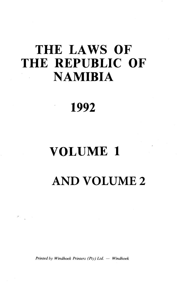# **THE LAWS OF THE REPUBLIC OF NAMIBIA**

# ' **1992**

# **VOLUME 1**

**AND VOLUME 2**

*Printed by Windhoek Printers (Pty) Ltd.* - *Windhoek* 

 $\label{eq:1.1} \mathcal{D}_{\mathcal{F}} = \frac{1}{\sqrt{2\pi}} \sum_{i=1}^n \mathcal{D}_{\mathcal{F}}^{(i)} \mathcal{D}_{\mathcal{F}}^{(i)}$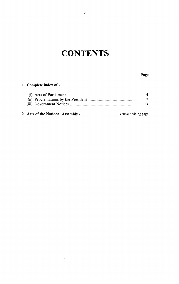## **CONTENTS**

#### 1. Complete index of-

 $\sim 10^7$ 

|  | $\tau$ |
|--|--------|
|  | 13.    |

#### 2. Acts of the National Assembly - The Yellow dividing page

3

 $\sim$ 

Page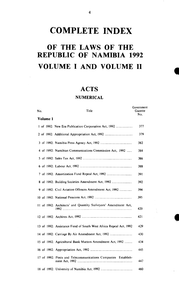## **COMPLETE INDEX**

## **OF THE LAWS OF THE REPUBLIC OF NAMIBIA 1992 VOLUME I AND VOLUME II**

### **ACTS**

#### **NUMERICAL**

Government

| No.      | Title                                                             | Gazette<br>No. |
|----------|-------------------------------------------------------------------|----------------|
| Volume 1 |                                                                   |                |
|          | 1 of 1992: New Era Publication Corporation Act, 1992              | 377            |
|          |                                                                   | 379            |
|          |                                                                   | 382            |
|          | 4 of 1992: Namibian Communications Commission Act, 1992           | 384            |
|          |                                                                   | 386            |
|          |                                                                   | 388            |
|          |                                                                   | 391            |
|          | 8 of 1992: Building Societies Amendment Act, 1992                 | 392            |
|          | 9 of 1992: Civil Aviation Offences Amendment Act, 1992            | 394            |
|          |                                                                   | 395            |
|          | 11 of 1992: Architects' and Quantity Surveyors' Amendment Act,    | 420            |
|          |                                                                   | 421            |
|          | 13 of 1992: Assistance Fund of South West Africa Repeal Act, 1992 | 429            |
|          | 14 of 1992: Carriage By Air Amendment Act, 1992                   | 430            |
|          | 15 of 1992: Agricultural Bank Matters Amendment Act, 1992         | 434            |
|          |                                                                   | 445            |
|          | 17 of 1992: Posts and Telecommunications Companies Establish-     | 447            |
|          |                                                                   | 460            |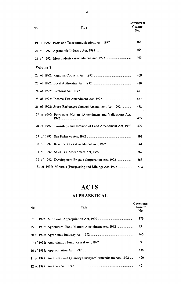| No. |          | Title                                                          | Government<br>Gazette<br>No. |
|-----|----------|----------------------------------------------------------------|------------------------------|
|     |          | 19 of 1992: Posts and Telecommunications Act, 1992             | 464                          |
|     |          |                                                                | 465                          |
|     |          |                                                                | 466                          |
|     | Volume 2 |                                                                |                              |
|     |          |                                                                | 469                          |
|     |          |                                                                | 470                          |
|     |          |                                                                | 471                          |
|     |          |                                                                | 487                          |
|     |          | 26 of 1992: Stock Exchanges Control Amendment Act, 1992        | 488                          |
|     |          | 27 of 1992: Petroleum Matters (Amendment and Validation) Act,  | 489                          |
|     |          | 28 of 1992: Townships and Division of Land Amendment Act, 1992 | 490                          |
|     |          |                                                                | 493                          |
|     |          |                                                                | 561                          |
|     |          |                                                                | 562                          |
|     |          | 32 of 1992: Development Brigade Corporation Act, 1992          | 563                          |
|     |          | 33 of 1992: Minerals (Prospecting and Mining) Act, 1992        | 564                          |

## **ACTS ALPHABETICAL**

| No. | Title                                                               | Government<br>Gazette<br>No. |
|-----|---------------------------------------------------------------------|------------------------------|
|     |                                                                     | 379                          |
|     | 15 of 1992: Agricultural Bank Matters Amendment Act, 1992           | 434                          |
|     |                                                                     | 465                          |
|     |                                                                     | 391                          |
|     |                                                                     | 445                          |
|     | 11 of 1992: Architects' and Quantity Surveyors' Amendment Act, 1992 | 420                          |
|     |                                                                     | 421                          |

5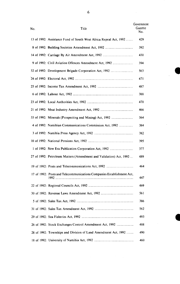| No. | Title                                                                 | Government<br>Gazette<br>No. |
|-----|-----------------------------------------------------------------------|------------------------------|
|     | 13 of 1992: Assistance Fund of South West Africa Repeal Act, 1992     | 429                          |
|     |                                                                       | 392                          |
|     |                                                                       | 430                          |
|     |                                                                       | 394                          |
|     |                                                                       | 563                          |
|     |                                                                       | 471                          |
|     |                                                                       | 487                          |
|     |                                                                       | 388                          |
|     |                                                                       | 470                          |
|     |                                                                       | 466                          |
|     |                                                                       | 564                          |
|     | 4 of 1992: Namibian Communications Commission Act, 1992               | 384                          |
|     |                                                                       | 382                          |
|     |                                                                       | 395                          |
|     |                                                                       | 377                          |
|     | 27 of 1992: Petroleum Matters (Amendment and Validation) Act, 1992    | 489                          |
|     |                                                                       | 464                          |
|     | 17 of 1992: Posts and Telecommunications Companies Establishment Act, | 447                          |
|     |                                                                       | 469                          |
|     |                                                                       | 561                          |
|     |                                                                       | 386                          |
|     |                                                                       | 562                          |
|     |                                                                       | 493                          |
|     | 26 of 1992: Stock Exchanges Control Amendment Act, 1992               | 488                          |
|     | 28 of 1992: Townships and Division of Land Amendment Act, 1992        | 490                          |
|     |                                                                       | 460                          |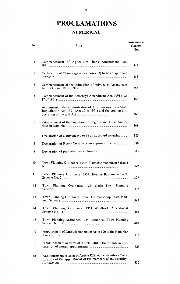## **PROCLAMATIONS NUMERICAL**

| No.            | Title                                                                                                                         | Government<br>Gazette<br>No. |
|----------------|-------------------------------------------------------------------------------------------------------------------------------|------------------------------|
| 1              | Commencement of Agricultural Bank Amendment Act,                                                                              | 344                          |
| $\overline{2}$ | Declaration of Okuryangava (Extension 3) to be an approved                                                                    | 355                          |
| 3              | Commencement of the Admission of Advocates Amendment                                                                          | 365                          |
| 4              | Commencement of the Attorneys Amendment Act, 1991 (Act                                                                        | 365                          |
| 5              | Assignment of the administration of the provisions of the State<br>Repudiation Act, 1991 (Act 32 of 1991) and the coming into | 366                          |
| 6              | Establishment of the boundaries of regions and Local Autho-                                                                   | 368                          |
| 7              | Declaration of Okuryangava to be an approved township                                                                         | 380                          |
| 8              | Declaration of Rocky Crest to be an approved township                                                                         | 380                          |
| 9              |                                                                                                                               | 383                          |
| 10             | Town Planning Ordinance, 1954: Tsumeb Amendment Scheme                                                                        | 397                          |
| $\mathbf{1}$   | Town Planning Ordinance, 1954: Henties Bay Amendment                                                                          | 397                          |
| 12             | Town Planning Ordinance, 1954: Outjo Town Planning                                                                            | 397                          |
| 13             | Town Planning Ordinance, 1954: Keetmanshoop Town Plan-                                                                        | 397                          |
| 4              | Town Planning Ordinance, 1954: Windhoek Amendment                                                                             | 410                          |
| 15             | Town Planning Ordinance, 1954: Windhoek Town Planning                                                                         | 410                          |
| 16             | Appointment of Ombudsman under Article 90 of the Namibian                                                                     | 415                          |
| 17             | Announcement in terms of Article 32(8) of the Namibian Con-                                                                   | 425                          |
| 18             | Announcement in terms of Article 32(8) of the Namibian Con-<br>stitution of the appointment of the members of the Security    | 432                          |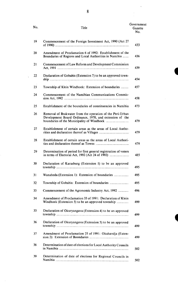| No. | Title                                                                                                                | Government<br>Gazette<br>No. |
|-----|----------------------------------------------------------------------------------------------------------------------|------------------------------|
| 19  | Commencement of the Foreign Investment Act, 1990 (Act 27                                                             | 433                          |
| 20  | Amendment of Proclamation 6 of 1992: Establishment of the<br>Boundaries of Regions and Local Authorities in Namibia  | 436                          |
| 21  | Commencement of Law Reform and Development Commission                                                                | 439                          |
| 22  | Declaration of Gobabis (Extension 7) to be an approved town-                                                         | 454                          |
| 23  | Township of Klein Windhoek: Extension of boundaries                                                                  | 457                          |
| 24  | Commencement of the Namibian Communications Commis-                                                                  | 458                          |
| 25  | Establishment of the boundaries of constituencies in Namibia                                                         | 473                          |
| 26  | Removal of Brakwater from the operation of the Peri-Urban<br>Development Board Ordinance, 1970, and extension of the | 479                          |
| 27  | Establishment of certain areas as the areas of Local Autho-                                                          | 479                          |
| 28  | Establishment of certain areas as the areas of Local Authori-                                                        | 479                          |
| 29  | Determination of period for first general registration of voters<br>in terms of Electoral Act, 1992 (Act 24 of 1992) | 485                          |
| 30  | Declaration of Karasburg (Extension 1) to be an approved                                                             | 495                          |
| 31  | Wanaheda (Extension 1): Extension of boundaries                                                                      | 495                          |
| 32  |                                                                                                                      | 495                          |
| 33  | Commencement of the Agronomic Industry Act, 1992                                                                     | 496                          |
| 34  | Amendment of Proclamation 33 of 1991: Declaration of Klein<br>Windhoek (Extension 5) to be an approved township      | 499                          |
| 35  | Declaration of Okuryangava (Extension 4) to be an approved                                                           | 499                          |
| 36  | Declaration of Okuryangava (Extension 5) to be an approved                                                           | 499                          |
| 37  | Amendment of Proclamation 25 of 1991: Okahandja (Exten-                                                              | 499                          |
| 38  | Determination of date of elections for Local Authority Councils                                                      | 502                          |
| 39  | Determination of date of elections for Regional Councils in                                                          | 502                          |

t

J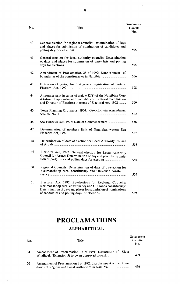| No. | Title                                                                                                                                                                                    | Government<br>Gazette<br>No. |
|-----|------------------------------------------------------------------------------------------------------------------------------------------------------------------------------------------|------------------------------|
| 40  | General election for regional councils: Determination of days<br>and places for submission of nomination of candidates and                                                               | 505                          |
| 41  | General election for local authority councils: Determination<br>of days and places for submission of party lists and polling                                                             | 505                          |
| 42  | Amendment of Proclamation 25 of 1992: Establishment of                                                                                                                                   | 506                          |
| 43  | Extension of period for first general registration of voters:                                                                                                                            | 508                          |
| 44  | Announcement in terms of article 32(8) of the Namibian Con-<br>stitution of appointment of members of Electoral Commission<br>and Director of Elections in terms of Electoral Act, 1992  | 509                          |
| 45  | Town Planning Ordinance, 1954: Grootfontein Amendment                                                                                                                                    | 522                          |
| 46  | Sea Fisheries Act, 1992: Date of Commencement                                                                                                                                            | 556                          |
| 47  | Determination of northern limit of Namibian waters: Sea                                                                                                                                  | 557                          |
| 48  | Determination of date of election for Local Authority Council                                                                                                                            | 558                          |
| 49  | Electoral Act, 1992: General election for Local Authority<br>Council for Aroab: Determination of day and place for submis-                                                               | 558                          |
| 50  | Regional Councils: Determination of date of by-election for<br>Keetmanshoop rural constituency and Olukonda consti-                                                                      | 559                          |
| 51  | Electoral Act, 1992: By-elections for Regional Councils:<br>Keetmanshoop rural constituency and Olukonda constituency:<br>Determination of days and places for submission of nominations | 559                          |

## **PROCLAMATIONS**

### **ALPHABETICAL**

| No. | Title                                                           | Government<br>Gazette<br>No. |
|-----|-----------------------------------------------------------------|------------------------------|
| 34  | Amendment of Proclamation 33 of 1991: Declaration of Klein      | 499                          |
| 20  | Amendment of Proclamation 6 of 1992: Establishment of the Boun- | 436                          |

9

 $\bar{z}$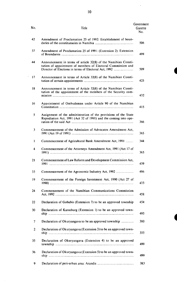| No.            | Title                                                                                                                              | Government<br>Gazette<br>No. |
|----------------|------------------------------------------------------------------------------------------------------------------------------------|------------------------------|
| 42             | Amendment of Proclamation 25 of 1992: Establishment of boun-                                                                       | 506                          |
| 37             | Amendment of Proclamation 25 of 1991: (Extension 2): Extension                                                                     | 499                          |
| 44             | Announcement in terms of article 32(8) of the Namibian Consti-<br>tution of appointment of members of Electoral Commission and     | 509                          |
| 17             | Announcement in terms of Article 32(8) of the Namibian Consti-                                                                     | 425                          |
| 18             | Announcement in terms of Article 32(8) of the Namibian Consti-<br>tution of the appointment of the members of the Security com-    | 432                          |
| 16             | Appointment of Ombudsman under Article 90 of the Namibian                                                                          | 415                          |
| 5              | Assignment of the administration of the provisions of the State<br>Repudiation Act, 1991 (Act 32 of 1991) and the coming into ope- | 366                          |
| 3              | Commencement of the Admission of Advocates Amendment Act,                                                                          | 365                          |
| 1              | Commencement of Agricultural Bank Amendment Act, 1991                                                                              | 344                          |
| 4              | Commencement of the Attorneys Amendment Act, 1991 (Act 17 of                                                                       | 365                          |
| 21             | Commencement of Law Reform and Development Commission Act,                                                                         | 439                          |
| 33             |                                                                                                                                    | 496                          |
| 19             | Commencement of the Foreign Investment Act, 1990 (Act 27 of                                                                        | 433                          |
| 24             | Commencement of the Namibian Communications Commission                                                                             | 458                          |
| 22             | Declaration of Gobabis (Extension 7) to be an approved township                                                                    | 454                          |
| 30             | Declaration of Karasburg (Extension 1) to be an approved town-                                                                     | 495                          |
| 7              |                                                                                                                                    | 380                          |
| $\overline{c}$ | Declaration of Okuryangava (Extension 3) to be an approved town-                                                                   | 355                          |
| 35             | Declaration of Okuryangava (Extension 4) to be an approved                                                                         | 499                          |
| 36             | Declaration of Okuryangava (Extension 5) to be an approved town-                                                                   | 499                          |
| 9              |                                                                                                                                    | 383                          |

 $\frac{1}{2}$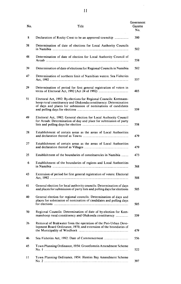| No.           | Title                                                                                                                                                                                                    | Government<br>Gazette<br>No. |
|---------------|----------------------------------------------------------------------------------------------------------------------------------------------------------------------------------------------------------|------------------------------|
| 8             |                                                                                                                                                                                                          | 380                          |
| 38            | Determination of date of elections for Local Authority Councils                                                                                                                                          | 502                          |
| 48            | Determination of date of election for Local Authority Council of                                                                                                                                         | 558                          |
| 39            | Determination of date of elections for Regional Councils in Namibia                                                                                                                                      | 502                          |
| 47.           | Determination of northern limit of Namibian waters: Sea Fisheries                                                                                                                                        | 557                          |
| 29            | Determination of period for first general registration of voters in                                                                                                                                      | 485                          |
| 51            | Electoral Act, 1992: By-elections for Regional Councils: Keetmans-<br>hoop rural constituency and Olukonda constituency: Determination<br>of days and places for submission of nominations of candidates | 559                          |
| 49            | Electoral Act, 1992: General election for Local Authority Council<br>for Aroab: Determination of day and place for submission of party                                                                   | 558                          |
| 28            | Establishment of certain areas as the areas of Local Authorities                                                                                                                                         | 479                          |
| 27            | Establishment of certain areas as the areas of Local Authorities                                                                                                                                         | 479                          |
| 25            | Establishment of the boundaries of constituencies in Namibia                                                                                                                                             | 473                          |
| 6             | Establishment of the boundaries of regions and Local Authorities                                                                                                                                         | 368                          |
| 43            | Extension of period for first general registration of voters: Electoral<br>Act. 1992.                                                                                                                    | 508                          |
| 41            | General election for local authority councils: Determination of days<br>and places for submission of party lists and polling days for elections                                                          | 505                          |
| 40            | General election for regional councils: Determination of days and<br>places for submission of nomination of candidates and polling days                                                                  | 505                          |
| 50            | Regional Councils: Determination of date of by-election for Keet-                                                                                                                                        | 559                          |
| 26            | Removal of Brakwater from the operation of the Peri-Urban Deve-<br>lopment Board Ordinance, 1970, and extension of the boundaries of                                                                     | 479                          |
| 46            |                                                                                                                                                                                                          | 556                          |
| 45            | Town Planning Ordinance, 1954: Grootfontein Amendment Scheme                                                                                                                                             | 522                          |
| $\mathbf{11}$ | Town Planning Ordinance, 1954: Henties Bay Amendment Scheme                                                                                                                                              | 397                          |

Ĵ,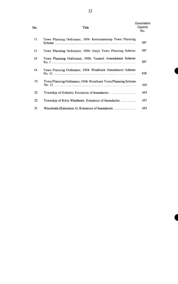| No. | Title                                                        | Government<br>Gazette<br>No. |
|-----|--------------------------------------------------------------|------------------------------|
| 13  | Town Planning Ordinance, 1954: Keetmanshoop Town Planning    | 397                          |
| 12  | Town Planning Ordinance, 1954: Outjo Town Planning Scheme    | 397                          |
| 10  | Town Planning Ordinance, 1954: Tsumeb Amendment Scheme       | 397                          |
| 14  | Town Planning Ordinance, 1954: Windhoek Amendment Scheme     | 410                          |
| 15  | Town Planning Ordinance, 1954: Windhoek Town Planning Scheme | 410                          |
| 32  |                                                              | 495                          |
| 23  |                                                              | 457                          |
| 31  | Wanaheda (Extension 1): Extension of boundaries              | 495                          |

 $\hat{\mathcal{A}}$ 

 $\sim$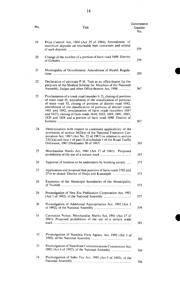| No. | Title                                                                                                                                                                                                                                                                                                                                                                                                                                                        | Government<br>Gazette<br>No. |
|-----|--------------------------------------------------------------------------------------------------------------------------------------------------------------------------------------------------------------------------------------------------------------------------------------------------------------------------------------------------------------------------------------------------------------------------------------------------------------|------------------------------|
| 19  | Price Control Act, 1964 (Act 25 of 1964); Amendment of<br>maximum deposits on returnable beer containers and refund                                                                                                                                                                                                                                                                                                                                          | 359                          |
| 20  | Change of the number of a portion of farm road 1609: District                                                                                                                                                                                                                                                                                                                                                                                                | 359                          |
| 21  | Municipality of Grootfontein: Amendment of Health Regula-                                                                                                                                                                                                                                                                                                                                                                                                    | 359                          |
| 22  | Declaration of advocate P.M. Teek as an office-bearer for the<br>purposes of the Medical Scheme for Members of the National<br>Assembly, Judges and other Office-bearers Act, 1990                                                                                                                                                                                                                                                                           | 367                          |
| 23  | Proclamation of a trunk road (number $6/2$ ), closing of portions<br>of main road 55, amendment of the classification of portions<br>of main road 55, closing of portions of district road 1692,<br>amendment of the classification of portions of district roads<br>1601 and 1692, proclamation of farm roads (numbers 1687<br>and 1827), closing of farm roads 1610, 1822, 1689, 1691, 1683,<br>1820 and 1608 and a portion of farm road 1690: District of | 367                          |
| 24  | Determination with respect to continued applicability of the<br>provisions of section 56(2)(a) of the National Transport Cor-<br>poration Act, 1987 (Act No. 21 of 1987) in relation to section<br>$33(1)(a)$ and item 1 of part II of schedule 1 of the Road Traffic                                                                                                                                                                                        | 367                          |
| 25  | Merchandise Marks Act, 1941 (Act 17 of 1941): Proposed                                                                                                                                                                                                                                                                                                                                                                                                       | 367                          |
| 26  | Approval of business to be undertaken by building society                                                                                                                                                                                                                                                                                                                                                                                                    | 373                          |
| 27  | Application and proposal that portions of farm roads 2702 and<br>2714 be closed: District of Outjo and Kamanjab                                                                                                                                                                                                                                                                                                                                              | 373                          |
| 28  | Extension of the Municipal boundaries of the Municipality                                                                                                                                                                                                                                                                                                                                                                                                    | 373                          |
| 29  | Promulgation of New Era Publication Corporation Act, 1992                                                                                                                                                                                                                                                                                                                                                                                                    | 377                          |
| 30  | Promulgation of Additional Appropriation Act, 1992 (Act 2                                                                                                                                                                                                                                                                                                                                                                                                    | 379                          |
| 31  | Correction Notice: Merchandise Marks Act, 1941 (Act 17 of<br>1941): Proposed prohibition of the use of a certain trade                                                                                                                                                                                                                                                                                                                                       | 381                          |
| 32  | Promulgation of Namibia Press Agency Act, 1992 (Act 3 of                                                                                                                                                                                                                                                                                                                                                                                                     | 382                          |
| 33  | Promulgation of Namibian Communications Commission Act,<br>1992 (Act 4 of 1992), of the National Assembly                                                                                                                                                                                                                                                                                                                                                    | 384                          |
| 34  | Promulgation of Sales Tax Act, 1992 (Act 5 of 1992), of the                                                                                                                                                                                                                                                                                                                                                                                                  | 386                          |

 $\sim$   $\sim$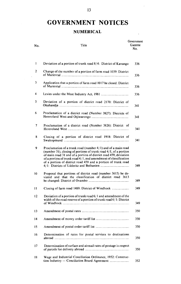# **GOVERNMENT NOTICES**

### **NUMERICAL**

 $\sim$ 

| No.             | Title                                                                                                                                                                                                                                                                                                                                             | Government<br>Gazette<br>No. |
|-----------------|---------------------------------------------------------------------------------------------------------------------------------------------------------------------------------------------------------------------------------------------------------------------------------------------------------------------------------------------------|------------------------------|
| $\mathbf{1}$    | Deviation of a portion of trunk road 8/4: District of Kavango                                                                                                                                                                                                                                                                                     | 336                          |
| 2               | Change of the number of a portion of farm road 1039: District                                                                                                                                                                                                                                                                                     | 336                          |
| 3               | Application that a portion of farm road 1017 be closed: District                                                                                                                                                                                                                                                                                  | 336                          |
| 4               |                                                                                                                                                                                                                                                                                                                                                   | 336                          |
| 5               | Deviation of a portion of district road 2170: District of                                                                                                                                                                                                                                                                                         | 341                          |
| 6               | Proclamation of a district road (Number 3827): Districts of                                                                                                                                                                                                                                                                                       | 34 I                         |
| 7               | Proclamation of a district road (Number 3826): District of                                                                                                                                                                                                                                                                                        | 341                          |
| 8               | Closing of a portion of district road 1918: District of                                                                                                                                                                                                                                                                                           | 341                          |
| 9               | Proclamation of a trunk road (number $4/1$ ) and of a main road<br>(number 31), closing of portions of trunk road $4/1$ , of a portion<br>of main road 31 and of a portion of district road 459, deviation<br>of a portion of trunk road $4/1$ , and amendment of classification<br>of a portion of district road 459 and a portion of trunk road | 349                          |
| 10              | Proposal that portions of district road (number 3615) be de-<br>viated and that the classification of district road 3613                                                                                                                                                                                                                          | 349                          |
| Н               |                                                                                                                                                                                                                                                                                                                                                   | 349                          |
| $\overline{12}$ | Deviation of a portion of trunk road $6/1$ and amendment of the<br>width of the road reserve of a portion of trunk road $6/1$ : District                                                                                                                                                                                                          | 349                          |
| 13              |                                                                                                                                                                                                                                                                                                                                                   | 350                          |
| 14              |                                                                                                                                                                                                                                                                                                                                                   | 350                          |
| 15              |                                                                                                                                                                                                                                                                                                                                                   | 350                          |
| 16              | Determination of rates for postal services to destinations                                                                                                                                                                                                                                                                                        | 350                          |
| 17              | Determination of surface and airmail rates of postage in respect                                                                                                                                                                                                                                                                                  | 350                          |
| 18              | Wage and Industrial Conciliation Ordinance, 1952: Construc-                                                                                                                                                                                                                                                                                       | 352                          |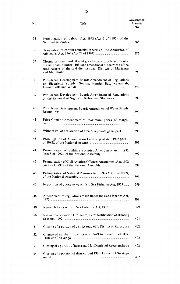| No. | Title                                                                                                                                                                                           | Government<br>Gazette<br>No. |
|-----|-------------------------------------------------------------------------------------------------------------------------------------------------------------------------------------------------|------------------------------|
| 35  | Promulgation of Labour Act, 1992 (Act 6 of 1992), of the                                                                                                                                        | 388                          |
| 36  | Designation of certain countries in terms of the Admission of                                                                                                                                   | 387                          |
| 37  | Closing of main road 34 (old gravel road), proclamation of a<br>district road (number 1105) and amendment of the width of the<br>road reserve of the said district road: Districts of Mariental | 390                          |
| 38  | Peri-Urban Development Board: Amendment of Regulations<br>on Electricity Supply: Gochas, Henties Bay, Kamanjab,                                                                                 | 390                          |
| 39  | Peri-Urban Development Board: Amendment of Regulations                                                                                                                                          | 390                          |
| 40  | Peri-Urban Development Board: Amendment of Water Supply                                                                                                                                         | 390                          |
| 41  | Price Control: Amendment of maximum prices of marga-                                                                                                                                            | 390                          |
| 42  | Withdrawal of declaration of area as a private game park                                                                                                                                        | 390                          |
| 43  | Promulgation of Amortization Fund Repeal Act, 1992 (Act 7                                                                                                                                       | 391                          |
| 44  | Promulgation of Building Societies Amendment Act, 1992                                                                                                                                          | 392                          |
| 45  | Promulgation of Civil Aviation Offences Amendment Act, 1992                                                                                                                                     | 394                          |
| 46  | Promulgation of National Pensions Act, 1992 (Act 10 of 1992),                                                                                                                                   | 395                          |
| 47  | Imposition of quota levies on fish: Sea Fisheries Act, 1973                                                                                                                                     | 399                          |
| 48  | Amendment of regulations made under the Sea Fisheries Act,                                                                                                                                      | 399                          |
| 49  |                                                                                                                                                                                                 | 399                          |
| 50  | Nature Conservation Ordinance, 1975: Notification of Hunting                                                                                                                                    | 40 1                         |
| 51  | Closing of a portion of district road 601: District of Karasburg                                                                                                                                | 402                          |
| 52  | Change of number of district road 3429 to district road 3427:                                                                                                                                   | 402                          |
| 53  | Closing of a portion of farm road 525: District of Keetmanshoop                                                                                                                                 | 402                          |
| 54  | Closing of a portion of district road 1905: District of Swakop-                                                                                                                                 | 402                          |

 $\ddot{\phantom{0}}$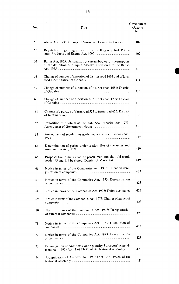| No. | Title                                                                                                                             | Government<br>Gazette<br>No. |
|-----|-----------------------------------------------------------------------------------------------------------------------------------|------------------------------|
| 55  | Aliens Act, 1937. Change of Surname: Tjombe to Kooper                                                                             | 402                          |
| 56  | Regulations regarding prices for the reselling of petrol: Petro-                                                                  | 407                          |
| 57  | Banks Act, 1965: Designation of certain bodies for the purposes<br>of the definition of "Liquid Assets" in section 1 of the Banks | 414                          |
| 58  | Change of number of a portion of district road 1603 and of farm                                                                   | 414                          |
| 59  | Change of number of a portion of district road 1681: District                                                                     | 414                          |
| 60  | Change of number of a portion of district road 1739: District                                                                     | 414                          |
| 61  | Change of a portion of farm road 525 to farm road 626: District                                                                   | 414                          |
| 62  | Imposition of quota levies on fish: Sea Fisheries Act, 1973:                                                                      | 417                          |
| 63  | Amendment of regulations made under the Sea Fisheries Act,                                                                        | 417                          |
| 64  | Determination of period under section 10A of the Arms and                                                                         | 419                          |
| 65  | Proposal that a main road be proclaimed and that old trunk<br>roads 1/3 and 1/4 be closed: District of Mariental                  | 419                          |
| 66  | Notice in terms of the Companies Act, 1973: Intended dere-                                                                        | 423                          |
| 67  | Notice in terms of the Companies Act, 1973: Deregistration                                                                        | 423                          |
| 68  | Notice in terms of the Companies Act, 1973: Defensive names                                                                       | 423                          |
| 69  | Notice in terms of the Companies Act, 1973: Change of names of                                                                    | 423                          |
| 70  | Notice in terms of the Companies Act, 1973: Deregistration                                                                        | 423                          |
| 71  | Notice in terms of the Companies Act, 1973: Dissolution of                                                                        | 423                          |
| 72  | Notice in terms of the Companies Act, 1973: Deregistration                                                                        | 423                          |
| 73  | Promulgation of Architects' and Quantity Surveyors' Amend-<br>ment Act, 1992 (Act 11 of 1992), of the National Assembly           | 420                          |
| 74  | Promulgation of Archives Act, 1992 (Act 12 of 1992), of the                                                                       | 421                          |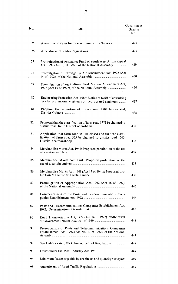| No. | Title                                                                                                                         | Government<br>Gazette<br>No. |
|-----|-------------------------------------------------------------------------------------------------------------------------------|------------------------------|
| 75  |                                                                                                                               | 427                          |
| 76  |                                                                                                                               | 427                          |
| 77  | Promulgation of Assistance Fund of South West Africa Repeal<br>Act, 1992 (Act 13 of 1992), of the National Assembly           | 429                          |
| 78  | Promulgation of Carriage By Air Amendment Act, 1992 (Act                                                                      | 430                          |
| 79  | Promulgation of Agricultural Bank Matters Amendment Act,                                                                      | 434                          |
| 80  | Engineering Profession Act, 1986: Notice of tariff of consulting<br>fees for professional engineers or incorporated engineers | 437                          |
| 81  | Proposal that a portion of district road 1707 be deviated:                                                                    | 438                          |
| 82  | Proposal that the classification of farm road 1771 be changed to                                                              | 438                          |
| 83  | Application that farm road 580 be closed and that the classi-<br>fication of farm road 565 be changed to district road 565:   | 438                          |
| 84  | Merchandise Marks Act, 1941: Proposed prohibition of the use                                                                  | 438                          |
| 85  | Merchandise Marks Act, 1941: Proposed prohibition of the                                                                      | 438                          |
| 86  | Merchandise Marks Act, 1941 (Act 17 of 1941): Proposed pro-                                                                   | 438                          |
| 87  | Promulgation of Appropriation Act, 1992 (Act 16 of 1992),                                                                     | 445                          |
| 88  | Commencement of the Posts and Telecommunications Com-                                                                         | 446                          |
| 89  | Posts and Telecommunications Companies Establishment Act,                                                                     | 446                          |
| 90  | Road Transportation Act, 1977 (Act 74 of 1977): Withdrawal                                                                    | 448                          |
| 91  | Proinulgation of Posts and Telecommunications Companies<br>Establishment Act, 1992 (Act No. 17 of 1992), of the National      | 447                          |
| 92  |                                                                                                                               | 449                          |
| 93  |                                                                                                                               | 449                          |
| 94  | Minimum fees chargeable by architects and quantity surveyors                                                                  | 449                          |
| 95  |                                                                                                                               | 449                          |

 $\ddot{\phantom{0}}$ 

 $\mathbb{R}^d$  .

 $\ddot{\phantom{0}}$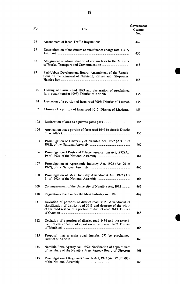| No. | Title                                                                                                                                                                                           | Government<br>Gazette<br>No. |
|-----|-------------------------------------------------------------------------------------------------------------------------------------------------------------------------------------------------|------------------------------|
| 96  |                                                                                                                                                                                                 | 449                          |
| 97  | Determination of maximum annual finance charge rate: Usury                                                                                                                                      | 455                          |
| 98  | Assignment of administration of certain laws to the Minister                                                                                                                                    | 455                          |
| 99  | Peri-Urban Development Board: Amendment of the Regula-<br>tions on the Removal of Nightsoil, Refuse and Slopwater:                                                                              | 455                          |
| 100 | Closing of Farm Road 1993 and declaration of proclaimed                                                                                                                                         | 455                          |
| 101 | Deviation of a portion of farm road 3005: District of Tsumeb                                                                                                                                    | 455                          |
| 102 | Closing of a portion of farm road 1017: District of Mariental                                                                                                                                   | 455                          |
| 103 |                                                                                                                                                                                                 | 455                          |
| 104 | Application that a portion of farm road 1649 be closed: District                                                                                                                                | 455                          |
| 105 | Promulgation of University of Namibia Act, 1992 (Act 18 of                                                                                                                                      | 460                          |
| 106 | Promulgation of Posts and Telecommunications Act, 1992 (Act                                                                                                                                     | 464                          |
| 107 | Promulgation of Agronomic Industry Act, 1992 (Act 20 of                                                                                                                                         | 465                          |
| 108 | Promulgation of Meat Industry Amendment Act, 1992 (Act                                                                                                                                          | 466                          |
| 109 | Commencement of the University of Namibia Act, 1992                                                                                                                                             | 462                          |
| 110 | Regulations made under the Meat Industry Act, 1981                                                                                                                                              | 468                          |
| 111 | Deviation of portions of district road 3615: Amendment of<br>classification of district road 3613 and decrease of the width<br>of the road reserve of a portion of district road 3613: District | 468                          |
| 112 | Deviation of a portion of district road 1434 and the amend-<br>ment of classification of a portion of farm road 1437: District                                                                  | 468                          |
| 113 | Proposal that a main road (number 77) be proclaimed:                                                                                                                                            | 468                          |
| 114 | Namibia Press Agency Act, 1992: Notification of appointment<br>of members of the Namibia Press Agency Board of Directors                                                                        | 468                          |
| 115 | Promulgation of Regional Councils Act, 1992 (Act 22 of 1992),                                                                                                                                   | 469                          |

I

ł,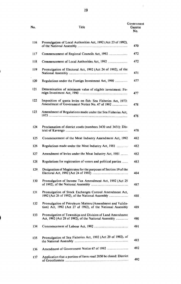| No. | Title                                                                                                                  | Government<br>Gazette<br>No. |
|-----|------------------------------------------------------------------------------------------------------------------------|------------------------------|
| 116 | Promulgation of Local Authorities Act, 1992 (Act 23 of 1992),                                                          | 470                          |
| 117 |                                                                                                                        | 472                          |
| 118 |                                                                                                                        | 472                          |
| 119 | Promulgation of Electoral Act, 1992 (Act 24 of 1992), of the                                                           | 471                          |
| 120 | Regulations under the Foreign Investment Act, 1990                                                                     | 477                          |
| 121 | Determination of minimum value of eligible investment: Fo-                                                             | 477                          |
| 122 | Imposition of quota levies on fish: Sea Fisheries Act, 1973:<br>Amendment of Government Notice No. 47 of 1992          | 478                          |
| 123 | Amendment of Regulations made under the Sea Fisheries Act,                                                             | 478                          |
| 124 | Proclamation of district roads (numbers 3430 and 3431): Dis-                                                           | 478                          |
| 125 | Commencement of the Meat Industry Amendment Act, 1992                                                                  | 482                          |
| 126 | Regulations made under the Meat Industry Act, 1981                                                                     | 482                          |
| 127 | Amendment of levies under the Meat Industry Act, 1981                                                                  | 482                          |
| 128 | Regulations for registration of voters and political parties                                                           | 483                          |
| 129 | Designation of Magistrates for the purposes of Section 19 of the                                                       | 484                          |
| 130 | Promulgation of Income Tax Amendment Act, 1992 (Act 25                                                                 | 487                          |
| 131 | Promulgation of Stock Exchanges Control Amendment Act,<br>1992 (Act 26 of 1992), of the National Assembly              | 488                          |
| 132 | Promulgation of Petroleum Matters (Amendment and Valida-<br>tion) Act, 1992 (Act 27 of 1992), of the National Assembly | 489                          |
| 133 | Promulgation of Townships and Division of Land Amendment<br>Act, 1992 (Act 28 of 1992), of the National Assembly       | 490                          |
| 134 |                                                                                                                        | 49 1                         |
| 135 | Promulgation of Sea Fisheries Act, 1992 (Act 29 of 1992), of                                                           | 493                          |
| 136 |                                                                                                                        | 492                          |
| 137 | Application that a portion of farm road 2850 be closed: District                                                       | 492                          |

 $\ddot{\phantom{0}}$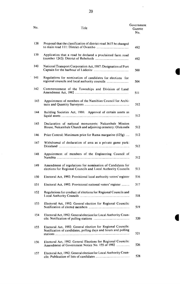| No. | Title                                                                                                                          | Government<br>Gazette<br>No. |
|-----|--------------------------------------------------------------------------------------------------------------------------------|------------------------------|
| 138 | Proposal that the classification of district road 3615 be changed                                                              | 492                          |
| 139 | Application that a road be declared a proclaimed farm road                                                                     | 492                          |
| 140 | National Transport Corporation Act, 1987: Designation of Port                                                                  | 500                          |
| 141 | Regulations for nomination of candidates for elections for<br>regional councils and local authority councils                   | 504                          |
| 142 | Commencement of the Townships and Division of Land                                                                             | 511                          |
| 143 | Appointment of members of the Namibian Council for Archi-                                                                      | 512                          |
| 144 | Building Societies Act, 1986: Approval of certain assets as                                                                    | 512                          |
| 145 | Declaration of national monuments: Nakambale Mission<br>House, Nakambale Church and adjoining cemetery: Olukonda               | 512                          |
| 146 | Price Control: Maximum price for Rama margarine (125g)                                                                         | 512                          |
| 147 | Withdrawal of declaration of area as a private game park:                                                                      | 512                          |
| 148 | Appointment of members of the Engineering Council of                                                                           | 512                          |
| 149 | Amendment of regulations for nomination of Candidates for<br>elections for Regional Councils and Local Authority Councils      | 513                          |
| 150 | Electoral Act, 1992: Provisional local authority voters' register                                                              | 516                          |
| 151 | Electoral Act, 1992: Provisional national voters' register                                                                     | 517                          |
| 152 | Regulations for conduct of elections for Regional Councils and                                                                 | 518                          |
| 153 | Electoral Act, 1992: General election for Regional Councils:                                                                   | 519                          |
| 154 | Electoral Act, 1992: General election for Local Authority Coun-                                                                | 520                          |
| 155 | Electoral Act, 1992: General election for Regional Councils:<br>Notification of candidates, polling days and hours and polling | 521                          |
| 156 | Electoral Act, 1992: General Elections for Regional Councils:<br>Amendment of Government Notice No. 155 of 1992                | 526                          |
| 157 | Electoral Act, 1992: General election for Local Authority Coun-                                                                | 528                          |

l,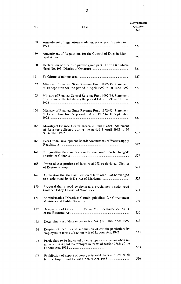| No. | Title | Government<br>Gazette<br>No. |
|-----|-------|------------------------------|
|     |       |                              |

 $\ddot{\phantom{0}}$ 

| 158 | Amendment of regulations made under the Sea Fisheries Act,                                                                       | 527 |
|-----|----------------------------------------------------------------------------------------------------------------------------------|-----|
| 159 | Amendment of Regulations for the Control of Dogs in Muni-                                                                        | 527 |
| 160 | Declaration of area as a private game park: Farm Okombahe                                                                        | 527 |
| 161 |                                                                                                                                  | 527 |
| 162 | Ministry of Finance: State Revenue Fund 1992/93. Statement<br>of Expenditure for the period 1 April 1992 to 30 June 1992         | 527 |
| 163 | Ministry of Finance: Central Revenue Fund 1992/93. Statement<br>of Revenue collected during the period 1 April 1992 to 30 June   | 527 |
| 164 | Ministry of Finance: State Revenue Fund 1992/93. Statement<br>of Expenditure for the period 1 April 1992 to 30 September         | 527 |
| 165 | Ministry of Finance: Central Revenue Fund 1992/93. Statement<br>of Revenue collected during the period 1 April 1992 to 30        | 527 |
| 166 | Peri-Urban Development Board: Amendment of Water Supply                                                                          | 527 |
| 167 | Proposal that the classification of district road 1852 be changed:                                                               | 527 |
| 168 | Proposal that portions of farm road 598 be deviated: District                                                                    | 527 |
| 169 | Application that the classification of farm road 1044 be changed                                                                 | 527 |
| 170 | Proposal that a road be declared a proclaimed district road                                                                      | 527 |
| 171 | Administrative Directive: Certain guidelines for Government                                                                      | 529 |
| 172 | Designation of Office of the Prime Minister under section 11                                                                     | 530 |
| 173 | Determination of date under section 52(1) of Labour Act, 1992                                                                    | 533 |
| 174 | Keeping of records and submission of certain particulars by<br>employers in terms of section 4(1) of Labour Act, 1992            | 533 |
| 175 | Particulars to be indicated on envelope or statement when re-<br>muneration is paid to employee in terms of section 36(3) of the | 533 |
| 176 | Prohibition of export of empty returnable beer and soft-drink                                                                    | 536 |

í

 $\overline{\phantom{a}}$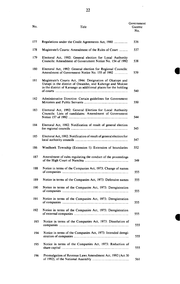| No. | Title                                                                                                                                                                                   | Government<br>Gazette<br>No. |
|-----|-----------------------------------------------------------------------------------------------------------------------------------------------------------------------------------------|------------------------------|
| 177 |                                                                                                                                                                                         | 536                          |
| 178 | Magistrate's Courts: Amendment of the Rules of Court                                                                                                                                    | 537                          |
| 179 | Electoral Act, 1992: General election for Local Authority<br>Councils: Amendment of Government Notice No. 154 of 1992                                                                   | 538                          |
| 180 | Electoral Act, 1992: General election for Regional Councils:                                                                                                                            | 539                          |
| 181 | Magistrate's Courts Act, 1944: Designation of Okatope and<br>Uutapi in the district of Owambo, and Kahenge and Mukwe<br>in the district of Kavango as additional places for the holding | 540                          |
| 182 | Administrative Directive: Certain guidelines for Government                                                                                                                             | 550                          |
| 183 | Electoral Act, 1992: General Election for Local Authority<br>Councils: Lists of candidates: Amendment of Government                                                                     | 544                          |
| 184 | Electoral Act, 1992: Notification of result of general election                                                                                                                         | 545                          |
| 185 | Electoral Act, 1992: Notification of result of general election for                                                                                                                     | 547                          |
| 186 | Windhoek Township (Extension 1): Extension of boundaries                                                                                                                                | 552                          |
| 187 | Amendment of rules regulating the conduct of the proceedings                                                                                                                            | 549                          |
| 188 | Notice in terms of the Companies Act, 1973: Change of names                                                                                                                             | 555                          |
| 189 | Notice in terms of the Companies Act, 1973: Defensive names                                                                                                                             | 555                          |
| 190 | Notice in terms of the Companies Act, 1973: Deregistration                                                                                                                              | 555                          |
| 191 | Notice in terms of the Companies Act, 1973: Deregistration                                                                                                                              | 555                          |
| 192 | Notice in terms of the Companies Act, 1973: Deregistration                                                                                                                              | 555                          |
| 193 | Notice in terms of the Companies Act, 1973: Dissolution of                                                                                                                              | 555                          |
| 194 | Notice in terms of the Companies Act, 1973: Intended deregi-                                                                                                                            | 555                          |
| 195 | Notice in terms of the Companies Act, 1973: Reduction of                                                                                                                                | 555                          |
| 196 | Promulgation of Revenue Laws Amendment Act, 1992 (Act 30                                                                                                                                | 561                          |

I

 $\sim$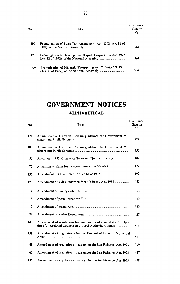| No. | Title                                                       | Government<br>Gazette<br>No. |
|-----|-------------------------------------------------------------|------------------------------|
| 197 | Promulgation of Sales Tax Amendment Act, 1992 (Act 31 of    | 562                          |
| 198 | Promulgation of Development Brigade Corporation Act, 1992   | 563                          |
| 199 | Promulgation of Minerals (Prospecting and Mining) Act, 1992 | 564                          |

 $\frac{1}{2}$ 

## **GOVERNMENT NOTICES ALPHABETICAL**

| No. | Title                                                                                                                       | Government<br>Gazette<br>No. |
|-----|-----------------------------------------------------------------------------------------------------------------------------|------------------------------|
| 171 | Administrative Directive: Certain guidelines for Government Mi-                                                             | 529                          |
| 182 | Administrative Directive: Certain guidelines for Government Mi-                                                             | 550                          |
| 55  |                                                                                                                             | 402                          |
| 75  |                                                                                                                             | 427                          |
| 136 |                                                                                                                             | 492                          |
| 127 |                                                                                                                             | 482                          |
| 14  |                                                                                                                             | 350                          |
| 15  |                                                                                                                             | 350                          |
| 13  |                                                                                                                             | 350                          |
| 76  |                                                                                                                             | 427                          |
| 149 | Amendment of regulations for nomination of Candidates for elec-<br>tions for Regional Councils and Local Authority Councils | 513                          |
| 159 | Amendment of regulations for the Control of Dogs in Municipal                                                               | 527                          |
| 48  | Amendment of regulations made under the Sea Fisheries Act, 1973                                                             | 399                          |
| 63  | Amendment of regulations made under the Sea Fisheries Act, 1973                                                             | 417                          |
| 123 | Amendment of regulations made under the Sea Fisheries Act, 1973                                                             | 478                          |

 $\hat{\mathcal{L}}$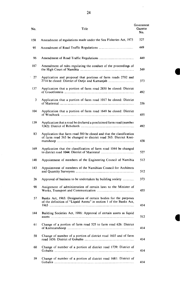| No. | Title                                                                                                                                    | Government<br>Gazette<br>No. |
|-----|------------------------------------------------------------------------------------------------------------------------------------------|------------------------------|
| 158 | Amendment of regulations made under the Sea Fisheries Act, 1973                                                                          | 527                          |
| 95  |                                                                                                                                          | 449                          |
| 96  |                                                                                                                                          | 449                          |
| 187 | Amendment of rules regulating the conduct of the proceedings of                                                                          | 549                          |
| 27  | Application and proposal that portions of farm roads 2702 and                                                                            | 373                          |
| 137 | Application that a portion of farm road 2850 be closed: District                                                                         | 492                          |
| 3   | Application that a portion of farm road 1017 be closed: District                                                                         | 336                          |
| 104 | Application that a portion of farm road 1649 be closed: District                                                                         | 455                          |
| 139 | Application that a road be declared a proclaimed farm road (number                                                                       | 492                          |
| 83  | Application that farm road 580 be closed and that the classification<br>of farm road 565 be changed to district road 565: District Keet- | 438                          |
| 169 | Application that the classification of farm road 1044 be changed                                                                         | 527                          |
| 148 | Appointment of members of the Engineering Council of Namibia                                                                             | 512                          |
| 143 | Appointment of members of the Namibian Council for Architects                                                                            | 512                          |
| 26  |                                                                                                                                          | 373                          |
| 98  | Assignment of administration of certain laws to the Minister of                                                                          | 455                          |
| 57  | Banks Act, 1965: Designation of certain bodies for the purposes<br>of the definition of "Liquid Assets" in section 1 of the Banks Act,   | 414                          |
| 144 | Building Societies Act, 1986: Approval of certain assets as liquid                                                                       | 512                          |
| 61  | Change of a portion of farm road 525 to farm road 626: District                                                                          | 414                          |
| 58  | Change of number of a portion of district road 1603 and of farm                                                                          | 414                          |
| 60  | Change of number of a portion of district road 1739: District of                                                                         | 414                          |
| 59  | Change of number of a portion of district road 1681: District of                                                                         | 414                          |

 $\hat{\boldsymbol{\theta}}$ 

**C** 

 $\ddot{\phantom{0}}$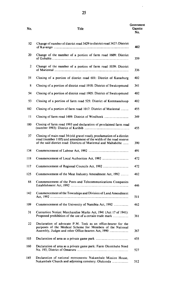| No. | Title                                                                                                                                                                                                         | Government<br>Gazette<br>No. |
|-----|---------------------------------------------------------------------------------------------------------------------------------------------------------------------------------------------------------------|------------------------------|
| 52  | Change of number of district road 3429 to district road 3427: District                                                                                                                                        | 402                          |
| 20  | Change of the number of a portion of farm road 1609: District                                                                                                                                                 | 359                          |
| 2   | Change of the number of a portion of farm road 1039: District                                                                                                                                                 | 336                          |
| 51  | Closing of a portion of district road 601: District of Karasburg                                                                                                                                              | 402                          |
| 8   | Closing of a portion of district road 1918: District of Swakopmund                                                                                                                                            | 341                          |
| 54  | Closing of a portion of district road 1905: District of Swakopmund                                                                                                                                            | 402                          |
| 53  | Closing of a portion of farm road 525: District of Keetmanshoop                                                                                                                                               | 402                          |
| 102 | Closing of a portion of farm road 1017: District of Mariental                                                                                                                                                 | 455                          |
| Ħ   |                                                                                                                                                                                                               | 349                          |
| 100 | Closing of farm road 1993 and declaration of proclaimed farm road                                                                                                                                             | 455                          |
| 37  | Closing of main road 34 (old gravel road), proclamation of a district<br>road (number 1105) and amendment of the width of the road reserve<br>of the said district road: Districts of Mariental and Maltahöhe | 390                          |
| 134 |                                                                                                                                                                                                               | 491                          |
| 118 |                                                                                                                                                                                                               | 472                          |
| 117 |                                                                                                                                                                                                               | 472                          |
| 125 | Commencement of the Meat Industry Amendment Act, 1992                                                                                                                                                         | 482                          |
| 88  | Commencement of the Posts and Telecommunications Companies                                                                                                                                                    | 446                          |
| 142 | Commencement of the Townships and Division of Land Amendment                                                                                                                                                  | 511                          |
| 109 |                                                                                                                                                                                                               | 462                          |
| 31  | Correction Notice: Merchandise Marks Act, 1941 (Act 17 of 1941):<br>Proposed prohibition of the use of a certain trade mark                                                                                   | 381                          |
| 22  | Declaration of advocate P.M. Teek as an office-bearer for the<br>purposes of the Medical Scheme for Members of the National<br>Assembly, Judges and other Office-bearers Act, 1990                            | 367                          |
| 103 |                                                                                                                                                                                                               | 455                          |

160 Declaration of area as a private game park: Farm Okombahe Nord No. 193, District of Omaruru .......................................................................... 527 145 Declaration of national monuments: Nakambale Mission House, Nakambale Church and adjoining cemetery: Olukonda ....................... 512

 $\sim$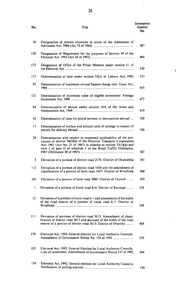|     |       | Government |
|-----|-------|------------|
| No. | Title | Gazette    |
|     |       | No.        |

 $\sim$ 

| 36    | Designation of certain countries in terms of the Admission of                                                                                                                                                                                                                    |
|-------|----------------------------------------------------------------------------------------------------------------------------------------------------------------------------------------------------------------------------------------------------------------------------------|
| 129   | Designation of Magistrates for the purposes of Section 19 of the                                                                                                                                                                                                                 |
| 172   | Designation of Office of the Prime Minister under section 11 of                                                                                                                                                                                                                  |
| · 173 | Determination of date under section 52(1) of Labour Act, 1992                                                                                                                                                                                                                    |
| 97    | Determination of maximum annual finance charge rate: Usary Act,                                                                                                                                                                                                                  |
| 121   | Determination of minimum value of eligible investment: Foreign                                                                                                                                                                                                                   |
| 64    | Determination of period under section 10A of the Arms and                                                                                                                                                                                                                        |
| 16    | Determination of rates for postal services to destinations abroad                                                                                                                                                                                                                |
| 17    | Determination of surface and airmail rates of postage in respect of                                                                                                                                                                                                              |
| 24    | Determination with respect to continued applicability of the pro-<br>visions of section 56(2)(a) of the National Transport Corporation<br>Act, 1987 (Act No. 21 of 1987) in relation to section $33(1)(a)$ and<br>item 1 of part II of schedule 1 of the Road Traffic Ordinance, |
| 5     | Deviation of a portion of district road 2170: District of Okahandja                                                                                                                                                                                                              |
| 112   | Deviation of a portion of district road 1434 and the amendment of<br>classification of a portion of farm road 1437: District of Windhoek                                                                                                                                         |
| 101   | Deviation of a portion of farm road 3005: District of Tsumeb                                                                                                                                                                                                                     |
| 1     | Deviation of a portion of trunk road 8/4: District of Kavango                                                                                                                                                                                                                    |
| 12    | Deviation of a portion of trunk road $6/1$ and amendment of the width<br>of the road reserve of a portion of trunk road $6/1$ : District of                                                                                                                                      |
| 111   | Deviation of portions of district road 3615: Amendment of classi-<br>fication of district road 3613 and decrease of the width of the road<br>reserve of a portion of district road 3613: District of Ovambo                                                                      |
| 179   | Electoral Act, 1992: General election for Local Authority Councils:                                                                                                                                                                                                              |
| 183   | Electoral Act, 1992: General Election for Local Authority Councils:<br>Lists of candidates: Amendment of Government Notice 157 of 1992                                                                                                                                           |
| 154   | Electoral Act, 1992: General election for Local Authority Councils:                                                                                                                                                                                                              |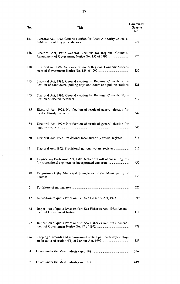| No. | Title                                                                                                                                     | Government<br>Gazette<br>No. |
|-----|-------------------------------------------------------------------------------------------------------------------------------------------|------------------------------|
| 157 | Electoral Act, 1992: General election for Local Authority Councils:                                                                       | 528                          |
| 156 | Electoral Act, 1992: General Elections for Regional Councils:                                                                             | 526                          |
| 180 | Electoral Act, 1992: General election for Regional Councils: Amend-                                                                       | 539                          |
| 155 | Electoral Act, 1992: General election for Regional Councils: Noti-<br>fication of candidates, polling days and hours and polling stations | 521                          |
| 153 | Electoral Act, 1992: General election for Regional Councils: Noti-                                                                        | 519                          |
| 185 | Electoral Act, 1992: Notification of result of general election for                                                                       | 547                          |
| 184 | Electoral Act, 1992: Notification of result of general election for                                                                       | 545                          |
| 150 | Electoral Act, 1992: Provisional local authority voters' register                                                                         | 516                          |
| 151 | Electoral Act, 1992: Provisional national voters' register                                                                                | 517                          |
| 80  | Engineering Profession Act, 1986: Notice of tariff of consulting fees                                                                     | 437                          |
| 28  | Extension of the Municipal boundaries of the Municipality of                                                                              | 373                          |
| 161 |                                                                                                                                           | 527                          |
| 47  | Imposition of quota levies on fish: Sea Fisheries Act, 1973                                                                               | 399                          |
| 62  | Imposition of quota levies on fish: Sea Fisheries Act, 1973: Amend-                                                                       | 417                          |
| 122 | Imposition of quota levies on fish: Sea Fisheries Act, 1973: Amend-                                                                       | 478                          |
| 174 | Keeping of records and submission of certain particulars by employ-                                                                       | 533                          |
| 4   |                                                                                                                                           | 336                          |
| 93  |                                                                                                                                           | 449                          |

 $\hat{\mathcal{E}}$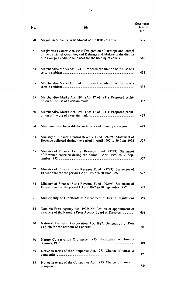| No. | Title                                                                                                                                                                                             | Government<br>Gazette<br>No. |
|-----|---------------------------------------------------------------------------------------------------------------------------------------------------------------------------------------------------|------------------------------|
| 178 | Magistrate's Courts: Amendment of the Rules of Court                                                                                                                                              | 537                          |
| 181 | Magistrate's Courts Act, 1944: Designation of Okatope and Uutapi<br>in the district of Owambo, and Kahenge and Mukwe in the district<br>of Kavango as additional places for the holding of courts | 540                          |
| 84  | Merchandise Marks Act, 1941: Proposed prohibition of the use of a                                                                                                                                 | 438                          |
| 85  | Merchandise Marks Act, 1941: Proposed prohibition of the use of a                                                                                                                                 | 438                          |
| 25  | Merchandise Marks Act, 1941 (Act 17 of 1941): Proposed prohi-                                                                                                                                     | 367                          |
| 86  | Merchandise Marks Act, 1941 (Act 17 of 1941): Proposed prohi-                                                                                                                                     | 438                          |
| 94  | Minimum fees chargeable by architects and quantity surveyors                                                                                                                                      | 449                          |
| 163 | Ministry of Finance: Central Revenue Fund 1992/93. Statement of<br>Revenue collected during the period 1 April 1992 to 30 June 1992                                                               | 527                          |
| 165 | Ministry of Finance: Central Revenue Fund 1992/93. Statement<br>of Revenue collected during the period 1 April 1992 to 30 Sep-                                                                    | 527                          |
| 162 | Ministry of Finance: State Revenue Fund 1992/93. Statement of                                                                                                                                     | 527                          |
| 164 | Ministry of Finance: State Revenue Fund 1992/93. Statement of<br>Expenditure for the period 1 April 1992 to 30 September 1992                                                                     | 527                          |
| 21  | Municipality of Grootfontein: Amendment of Health Regulations                                                                                                                                     | 359                          |
| 114 | Namibia Press Agency Act, 1992: Notification of appointment of<br>members of the Namibia Press Agency Board of Directors                                                                          | 468                          |
| 140 | National Transport Corporation Act, 1987: Designation of Port                                                                                                                                     | 500                          |
| 50  | Nature Conservation Ordinance, 1975: Notification of Hunting                                                                                                                                      | 40 1                         |
| 69  | Notice in terms of the Companies Act, 1973: Change of names of                                                                                                                                    | 423                          |
| 188 | Notice in terms of the Companies Act, 1973: Change of names of                                                                                                                                    | 555                          |

 $\bar{z}$ 

 $\hat{\mathcal{E}}$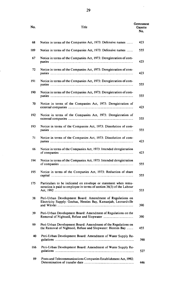#### Government No. Some Gazette Gazette Gazette Gazette Gazette Gazette Gazette Gazette Gazette Gazette Gazette Gazette Gazette No.

 $\sim 10^7$ 

| 68  | Notice in terms of the Companies Act, 1973: Defensive names                                                                             | 423 |
|-----|-----------------------------------------------------------------------------------------------------------------------------------------|-----|
| 189 | Notice in terms of the Companies Act, 1973: Defensive names                                                                             | 555 |
| 67  | Notice in terms of the Companies Act, 1973: Deregistration of com-                                                                      | 423 |
| 72  | Notice in terms of the Companies Act, 1973: Deregistration of com-                                                                      | 423 |
| 191 | Notice in terms of the Companies Act, 1973: Deregistration of com-                                                                      | 555 |
| 190 | Notice in terms of the Companies Act, 1973: Deregistration of com-                                                                      | 555 |
| 70  | Notice in terms of the Companies Act, 1973: Deregistration of                                                                           | 423 |
| 192 | Notice in terms of the Companies Act, 1973: Deregistration of                                                                           | 555 |
| 193 | Notice in terms of the Companies Act, 1973: Dissolution of com-                                                                         | 555 |
| 71  | Notice in terms of the Companies Act, 1973: Dissolution of com-                                                                         | 423 |
| 66  | Notice in terms of the Companies Act, 1973: Intended deregistration                                                                     | 423 |
| 194 | Notice in terms of the Companies Act, 1973: Intended deregistration                                                                     | 555 |
| 195 | Notice in terms of the Companies Act, 1973: Reduction of share                                                                          | 555 |
| 175 | Particulars to be indicated on envelope or statement when remu-<br>neration is paid to employee in terms of section 36(3) of the Labour | 533 |
| 38  | Peri-Urban Development Board: Amendment of Regulations on<br>Electricity Supply: Gochas, Henties Bay, Kamanjab, Leonardville            | 390 |
| 39  | Peri-Urban Development Board: Amendment of Regulations on the                                                                           | 390 |
| 99  | Peri-Urban Development Board: Amendment of the Regulations on<br>the Removal of Nightsoil, Refuse and Slopwater: Henties Bay            | 455 |
| 40  | Peri-Urban Development Board: Amendment of Water Supply Re-                                                                             | 390 |
| 166 | Peri-Urban Development Board: Amendment of Water Supply Re-                                                                             | 527 |
| 89  | Posts and Telecommunications Companies Establishment Act, 1992:                                                                         | 446 |
|     |                                                                                                                                         |     |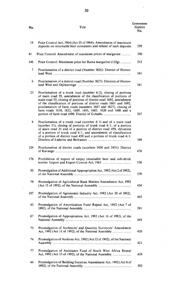| No. | Title                                                                                                                                                                                                                                                                                                                                                                                                              | Government<br>Gazette<br>No. |
|-----|--------------------------------------------------------------------------------------------------------------------------------------------------------------------------------------------------------------------------------------------------------------------------------------------------------------------------------------------------------------------------------------------------------------------|------------------------------|
| 19  | Price Control Act, 1964 (Act 25 of 1964); Amendment of maximum<br>deposits on returnable beer containers and refund of such deposits                                                                                                                                                                                                                                                                               | 359                          |
| 41  | Price Control: Amendment of maximum prices of margarine                                                                                                                                                                                                                                                                                                                                                            | 390                          |
| 146 | Price Control: Maximum price for Rama margarine (125g)                                                                                                                                                                                                                                                                                                                                                             | 512                          |
| 7   | Proclamation of a district road (Number 3826): District of Herero-                                                                                                                                                                                                                                                                                                                                                 | 341                          |
| 6   | Proclamation of a district road (Number 3827): Districts of Herero-                                                                                                                                                                                                                                                                                                                                                | 341                          |
| 23  | Proclamation of a trunk road (number $6/2$ ), closing of portions<br>of main road 55, amendment of the classification of portions of<br>main road 55, closing of portions of district road 1692, amendment<br>of the classification of portions of district roads 1601 and 1692,<br>proclamation of farm roads (numbers 1687 and 1827), closing of<br>farm roads 1610, 1822, 1689, 1691, 1683, 1820 and 1608 and a | 367                          |
| 9   | Proclamation of a trunk road (number $4/1$ ) and of a main road<br>(number 31), closing of portions of trunk road $4/1$ , of a portion<br>of main road 31 and of a portion of district road 459, deviation<br>of a portion of trunk road $4/1$ , and amendment of classification<br>of a portion of district road 459 and a portion of trunk road 4/1:                                                             | 349                          |
| 124 | Proclamation of district roads (numbers 3430 and 3431): District                                                                                                                                                                                                                                                                                                                                                   | 478                          |
| 176 | Prohibition of export of empty returnable beer and soft-drink                                                                                                                                                                                                                                                                                                                                                      | 536                          |
| 30  | Promulgation of Additional Appropriation Act, 1992 (Act 2 of 1992),                                                                                                                                                                                                                                                                                                                                                | 379                          |
| 79  | Promulgation of Agricultural Bank Matters Amendment Act, 1992                                                                                                                                                                                                                                                                                                                                                      | 434                          |
| 107 | Promulgation of Agronomic Industry Act, 1992 (Act 20 of 1992),                                                                                                                                                                                                                                                                                                                                                     | 465                          |
| 43  | Promulgation of Amortization Fund Repeal Act, 1992 (Act 7 of                                                                                                                                                                                                                                                                                                                                                       | 391                          |
| 87  | Promulgation of Appropriation Act, 1992 (Act 16 of 1992), of the                                                                                                                                                                                                                                                                                                                                                   | 445                          |
| 73  | Promulgation of Architects' and Quantity Surveyors' Amendment                                                                                                                                                                                                                                                                                                                                                      | 420                          |
| 74  | Promulgation of Archives Act, 1992 (Act 12 of 1992), of the National                                                                                                                                                                                                                                                                                                                                               | 421                          |
| 77  | Promulgation of Assistance Fund of South West Africa Repeal                                                                                                                                                                                                                                                                                                                                                        | 429                          |

<sup>44</sup> Promulgation of Building Societies Amendment Act, 1992 (Act 8 of 1992), of the National Assembly .................................................................... 392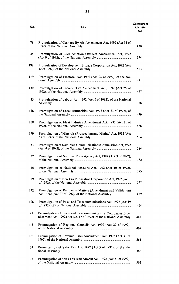| No.  | Title                                                                                                                              | Government<br>Gazette<br>No. |
|------|------------------------------------------------------------------------------------------------------------------------------------|------------------------------|
| 78   | Promulgation of Carriage By Air Amendment Act, 1992 (Act 14 of                                                                     | 430                          |
| 45   | Promulgation of Civil Aviation Offences Amendment Act, 1992                                                                        | 394                          |
| 198  | Promulgation of Development Brigade Corporation Act, 1992 (Act                                                                     | 563                          |
| 119  | Promulgation of Electoral Act, 1992 (Act 24 of 1992), of the Na-                                                                   | 471                          |
| 130  | Promulgation of Income Tax Amendment Act, 1992 (Act 25 of                                                                          | 487                          |
| 35   | Promulgation of Labour Act, 1992 (Act 6 of 1992), of the National                                                                  | 388                          |
| 116  | Promulgation of Local Authorities Act, 1992 (Act 23 of 1992), of                                                                   | 470                          |
| 108  | Promulgation of Meat Industry Amendment Act, 1992 (Act 21 of                                                                       | 466                          |
| 199. | Promulgation of Minerals (Prospecting and Mining) Act, 1992 (Act                                                                   | 564                          |
| 33   | Promulgation of Namibian Communications Commission Act, 1992                                                                       | 384                          |
| 32   | Promulgation of Namibia Press Agency Act, 1992 (Act 3 of 1992),                                                                    | 382                          |
| 46   | Promulgation of National Pensions Act, 1992 (Act 10 of 1992),                                                                      | 395                          |
| 29   | Promulgation of New Era Publication Corporation Act, 1992 (Act 1                                                                   | 377                          |
| 132  | Promulgation of Petroleum Matters (Amendment and Validation)                                                                       | 489                          |
| 106  | Promulgation of Posts and Telecommunications Act, 1992 (Act 19                                                                     | 464                          |
| 91   | Promulgation of Posts and Telecommunications Companies Esta-<br>blishment Act, 1992 (Act No. 17 of 1992), of the National Assembly | 447                          |
| 115  | Promulgation of Regional Councils Act, 1992 (Act 22 of 1992),                                                                      | 469                          |
| 196  | Promulgation of Revenue Laws Amendment Act, 1992 (Act 30 of                                                                        | 561                          |
| 34   | Promulgation of Sales Tax Act, 1992 (Act 5 of 1992), of the Na-                                                                    | 386                          |

197 Promulgation of Sales Tax Amendment Act, 1992 (Act 31 of 1992), of the National Assembly.................................................................................. 562

 $\mathcal{A}^{\pm}$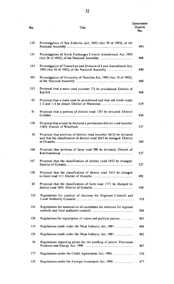#### **No.** Title

 $\ddot{\phantom{a}}$ 

| 135             | Promulgation of Sea Fisheries Act, 1992 (Act 29 of 1992), of the                                                                            | 493 |
|-----------------|---------------------------------------------------------------------------------------------------------------------------------------------|-----|
| 131             | Promulgation of Stock Exchanges Control Amendment Act, 1992                                                                                 | 488 |
| 133             | Promulgation of Townships and Division of Land Amendment Act,                                                                               | 490 |
| 105             | Promulgation of University of Namibia Act, 1992 (Act 18 of 1992),                                                                           | 460 |
| 113             | Proposal that a main road (number 77) be proclaimed: District of                                                                            | 468 |
| 65              | Proposal that a main road be proclaimed and that old trunk roads                                                                            | 419 |
| 81              | Proposal that a portion of district road 1707 be deviated: District                                                                         | 438 |
| 170             | Proposal that a road be declared a proclaimed district road (number                                                                         | 527 |
| 10 <sup>°</sup> | Proposal that portions of district road (number 3615) be deviated<br>and that the classification of district road 3613 be changed: District | 349 |
| 168             | Proposal that portions of farm road 598 be deviated: District of                                                                            | 527 |
| 167             | Proposal that the classification of district road 1852 be changed:                                                                          | 527 |
| 138             | Proposal that the classification of district road 3615 be changed                                                                           | 492 |
| 82              | Proposal that the classification of farm road 1771 be changed to                                                                            | 438 |
| 152             | Regulations for conduct of elections for Regional Councils and                                                                              | 518 |
| 141             | Regulations for nomination of candidates for elections for regional                                                                         | 504 |
| 128             | Regulations for registration of voters and political parties                                                                                | 483 |
| 110             | Regulations made under the Meat Industry Act, 1981                                                                                          | 468 |
| 126             | Regulations made under the Meat Industry Act, 1981                                                                                          | 482 |
| 56              | Regulations regarding prices for the reselling of petrol: Petroleum                                                                         | 407 |
| 177             | Regulations under the Credit Agreements Act, 1980                                                                                           | 536 |
| 120             | Regulations under the Foreign Investment Act, 1990                                                                                          | 477 |